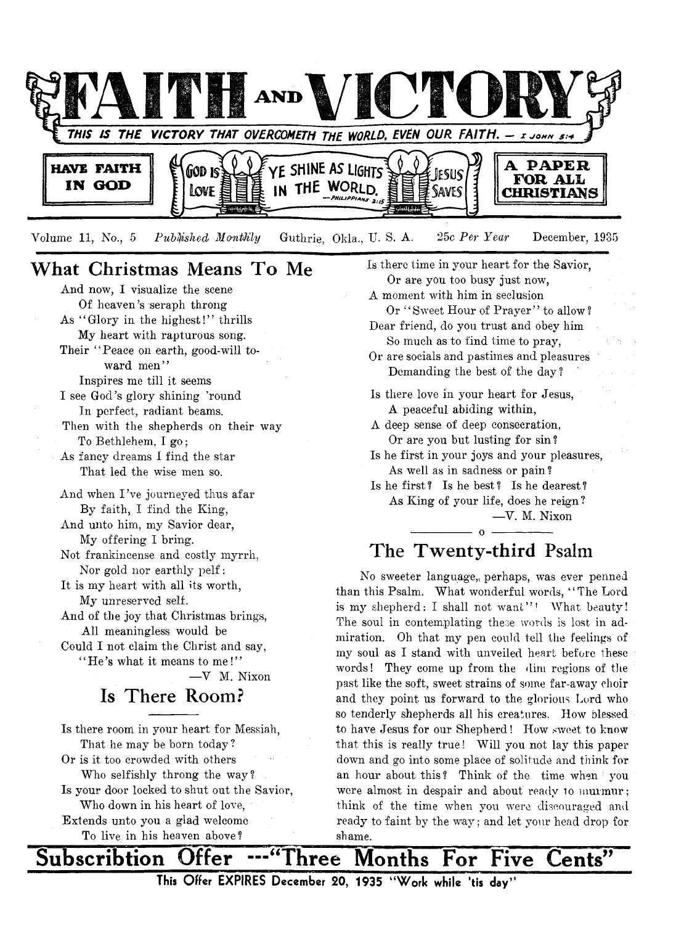

Volume 11, No., 5 *Published Monthly* Guthrie, Okla., U.S. A. 25c Per Year December, 1935

# **What Christmas Means To Me**

And now, I visualize the scene Of heaven 's seraph throng As " Glory in the highest!" thrills My heart with rapturous song. Their "Peace on earth, good-will toward men" Inspires me till it seems I see God's glory shining 'round In perfect, radiant beams. Then with the shepherds on their way To Bethlehem, I go; As fancy dreams I find the star That led the wise men so. And when I 've journeyed thus afar By faith, I find the King, And unto him, my Savior dear, My offering I bring. Not frankincense and costly myrrh, Nor gold nor earthly pelf: It is my heart with all its worth, My unreserved self. And of the joy that Christmas brings, All meaningless would be Could I not claim the Christ and say,  $"He's what it means to me!"$ —V M. Nixon

**Is There Room?**

Is there room in your heart for Messiah, That he may be born today ?

Or is it too crowded with others Who selfishly throng the way? Is your door locked to shut out the Savior, Who down in his heart of love, Extends unto you a glad welcome To live in his heaven above?

Is there time in your heart for the Savior, Or are you too busy just now, A moment with him in seclusion Or "Sweet Hour of Prayer" to allow? Dear friend, do you trust and obey him So much as to find time to pray, Or are socials and pastimes and pleasures Demanding the best of the day ? Is there love in your heart for Jesus, A peaceful abiding within, A deep sense of deep consecration, Or are you but lusting for sin ? Is he first in your joys and your pleasures, As well as in sadness or pain ? Is he first ? Is he best ? Is he dearest ? As King of your life, does he reign ?

## —Y. M. Nixon

# $-$  0  $-$ **The Twenty-third Psalm**

No sweeter language, perhaps, was ever penned than this Psalm. What wonderful words, " The Lord is my shepherd: I shall not want"! What beauty! The soul in contemplating these words is lost in admiration. Oh that my pen could tell the feelings of my soul as I stand with unveiled heart before these words! They come up from the dim regions of the past like the soft, sweet strains of some far-away choir and they point us forward to the glorious Lord who so tenderly shepherds all his creatures. How blessed to have Jesus for our Shepherd! How sweet to know that this is really true! Will you not lay this paper down and go into some place of solitude and think for an hour about this ? Think of the time when : you were almost in despair and about ready to murmur; think of the time when you were discouraged and ready to faint by the way; and let vour head drop for shame.

Subscribtion Offer ---"Three Months For Five Cents" **This Offer EXPIRES December 20, 1935 "Work while \*tis day'\***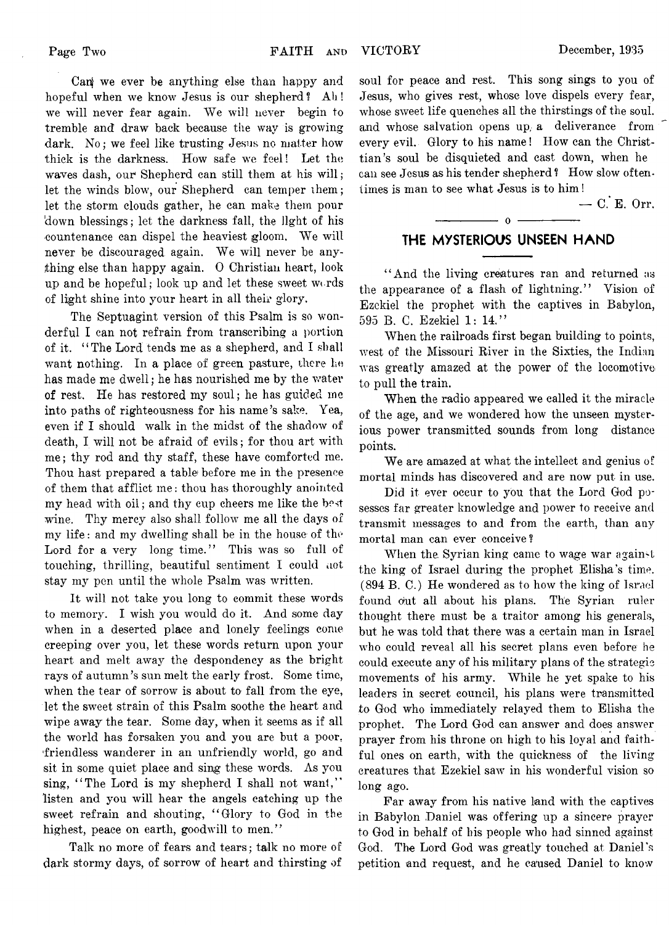Canj we ever be anything else than happy and hopeful when we know Jesus is our shepherd? Ah! we will never fear again. We will never begin to tremble and draw back because the way is growing dark. No; we feel like trusting Jesus no matter how thick is the darkness. How safe we feel! Let the waves dash, our Shepherd can still them at his will; let the winds blow, our Shepherd can temper them; let the storm clouds gather, he can make them pour 'down blessings; let the darkness fall, the light of his countenance can dispel the heaviest gloom. We will never be discouraged again. We will never be anything else than happy again. 0 Christian heart, look up and be hopeful; look up and let these sweet w< rds of light shine into your heart in all their glory.

The Septuagint version of this Psalm is so wonderful I can not refrain from transcribing a portion of it. " The Lord tends me as a shepherd, and I shall want nothing. In a place of green pasture, there he has made me dwell; he has nourished me by the water of rest. He has restored my soul; he has guided ine into paths of righteousness for his name's sake. Yea, even if I should walk in the midst of the shadow of death, I will not be afraid of evils; for thou art with me; thy rod and thy staff, these have comforted me. Thou hast prepared a table before me in the presence of them that afflict me: thou has thoroughly anointed my head with oil; and thy cup cheers me like the best wine. Thy mercy also shall follow me all the days of my life : and my dwelling shall be in the house of the Lord for a very long time." This was so full of touching, thrilling, beautiful sentiment I could not stay my pen until the whole Psalm was written.

It will not take you long to commit these words to memory. I wish you would do it. And some day when in a deserted place and lonely feelings come creeping over you, let these words return upon your heart and melt away the despondency as the bright rays of autumn's sun melt the early frost. Some time, when the tear of sorrow is about to fall from the eye, let the sweet strain of this Psalm soothe the heart and wipe away the tear. Some day, when it seems as if all the world has forsaken you and you are but a poor, 'friendless wanderer in an unfriendly world, go and sit in some quiet place and sing these words. As you sing, "The Lord is my shepherd I shall not want," listen and you will hear the angels catching up the sweet refrain and shouting, "Glory to God in the highest, peace on earth, goodwill to men."

Talk no more of fears and tears; talk no more of dark stormy days, of sorrow of heart and thirsting of

soul for peace and rest. This song sings to you of Jesus, who gives rest, whose love dispels every fear, whose sweet life quenches all the thirstings of the soul, and whose salvation opens up, a deliverance from every evil. Glory to his name! How can the Christtian's soul be disquieted and cast down, when he can see Jesus as his tender shepherd ? How slow oftentimes is man to see what Jesus is to him!

 $-$  C. E. Orr.

## ----------------- o ----------------- **THE MYSTERIOUS UNSEEN HAND**

" And the living creatures ran and returned ns the appearance of a flash of lightning." Vision of Ezekiel the prophet with the captives in Babylon, 595 B. C. Ezekiel 1: 14."

When the railroads first began building to points, west of the Missouri River in the Sixties, the Indian was greatly amazed at the power of the locomotive to pull the train.

When the radio appeared we called it the miracle of the age, and we wondered how the unseen mysterious power transmitted sounds from long distance points.

We are amazed at what the intellect and genius of mortal minds has discovered and are now put in use.

Did it ever occur to you that the Lord God posesses far greater knowledge and power to receive and transmit messages to and from the earth, than any mortal man can ever conceive?

When the Syrian king came to wage war against the king of Israel during the prophet Elisha's time. (894 B. C.) He wondered as to how the king of Israel found out all about his plans. The Syrian ruler thought there must be a traitor among his generals, but he was told that there was a certain man in Israel who could reveal all his secret plans even before he could execute any of his military plans of the strategic movements of his army. While he yet spake to his leaders in secret council, his plans were transmitted to God who immediately relayed them to Elisha the prophet. The Lord God can answer and does answer prayer from his throne on high to his loyal and faithful ones on earth, with the quickness of the living creatures that Ezekiel saw in his wonderful vision so long ago.

Far away from his native land with the captives in Babylon Daniel was offering up a sincere prayer to God in behalf of his people who had sinned against God. The Lord God was greatly touched at Daniel's petition and request, and he caused Daniel to know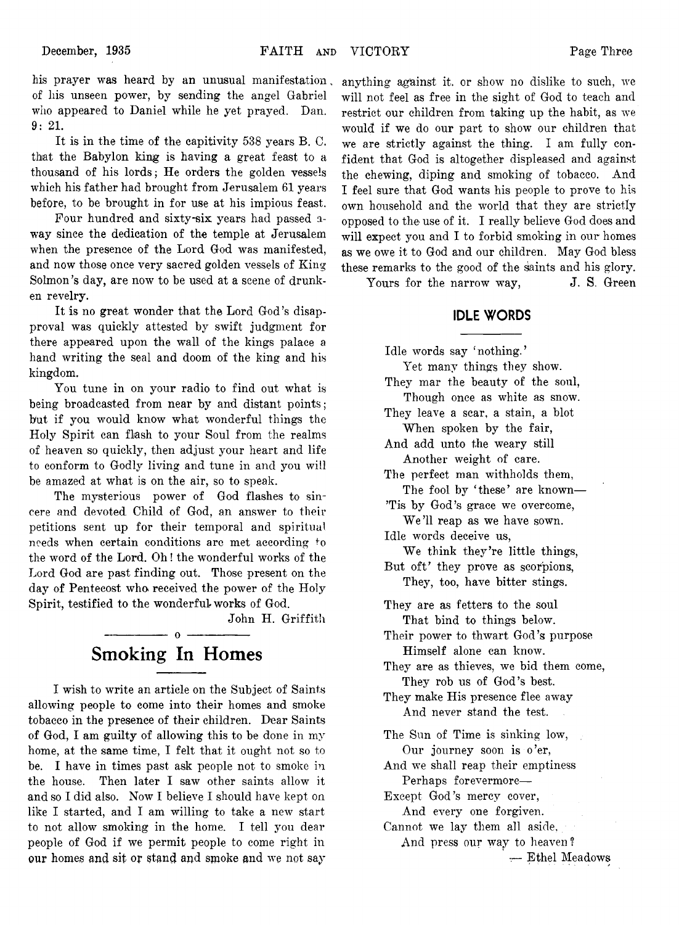his prayer was heard by an unusual manifestation. of his unseen power, by sending the angel Gabriel who appeared to Daniel while he yet prayed. Dan. **9: 21.**

It is in the time of the capitivity 538 years B. C. that the Babylon king is having a great feast to a thousand of his lords; He orders the golden vessels which his father had brought from Jerusalem 61 years before, to be brought in for use at his impious feast.

Four hundred and sixty-six years had passed away since the dedication of the temple at Jerusalem when the presence of the Lord God was manifested, and now those once very sacred golden vessels of King Solmon's day, are now to be used at a scene of drunken revelry.

It is no great wonder that the Lord God's disapproval was quickly attested by swift judgment for there appeared upon the wall of the kings palace a hand writing the seal and doom of the king and his kingdom.

You tune in on your radio to find out what is being broadcasted from near by and distant points; but if you would know what wonderful things the Holy Spirit can flash to your Soul from the realms of heaven so quickly, then adjust your heart and life to conform to Godly living and tune in and you will be amazed at what is on the air, so to speak.

The mysterious power of God flashes to sincere and devoted Child of God, an answer to their petitions sent up for their temporal and spiritual needs when certain conditions are met according to the word of the Lord. Oh! the wonderful works of the Lord God are past finding out. Those present on the day of Pentecost who received the power of the Holy Spirit, testified to the wonderful works of God.

John H. Griffith

# ----------------- o — ------------- **Smoking In Homes**

I wish to write an article on the Subject of Saints allowing people to come into their homes and smoke tobacco in the presence of their children. Dear Saints of God, I am guilty of allowing this to be done in my home, at the same time, I felt that it ought not so to be. I have in times past ask people not to smoke in the house. Then later I saw other saints allow it and so I did also. Now I believe I should have kept on like I started, and I am willing to take a new start to not allow smoking in the home. I tell you dear people of God if we permit people to come right in **our** homes **and** sit or **stand** and **smoke and** we not say

anything against it. or show no dislike to such, we will not feel as free in the sight of God to teach and restrict our children from taking up the habit, as we would if we do our part to show our children that we are strictly against the thing. I am fully confident that God is altogether displeased and against the chewing, diping and smoking of tobacco. And I feel sure that God wants his people to prove to his own household and the world that they are strictly opposed to the use of it. I really believe God does and will expect you and I to forbid smoking in our homes as we owe it to God and our children. May God bless these remarks to the good of the saints and his glory.

Yours for the narrow way, J. S. Green

## **IDLE WORDS**

Idle words say 'nothing.'

Yet many things they show. They mar the beauty of the soul, Though once as white as snow. They leave a scar, a stain, a blot When spoken by the fair, And add unto the weary still Another weight of care. The perfect man withholds them, The fool by 'these' are known-

'Tis by God's grace we overcome, We'll reap as we have sown.

Idle words deceive us, We think they're little things,

But oft' they prove as scorpions, They, too, have bitter stings.

They are as fetters to the soul That bind to things below.

- Their power to thwart God's purpose Himself alone can know.
- They are as thieves, we bid them come, They rob us of God's best.

They make His presence flee away And never stand the test.

The Sun of Time is sinking low, Our journey soon is o'er,

And we shall reap their emptiness Perhaps forevermore—

Except God's mercy cover, And every one forgiven.

Cannot we lay them all aside, And press our way to heaven? — Ethel Meadows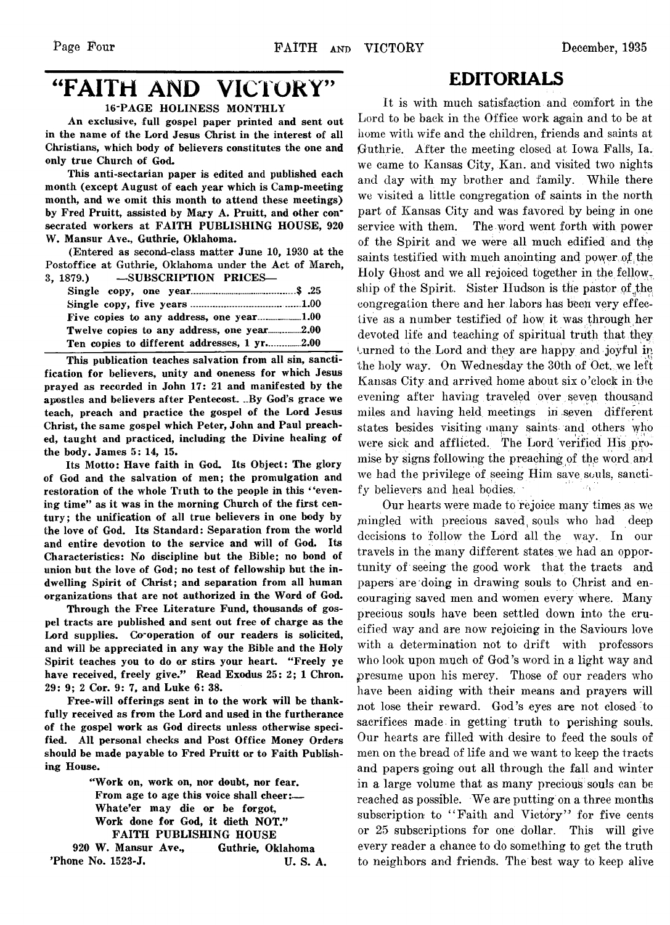# "FAITH AND VICTORY"

## 16-PAGE HOLINESS MONTHLY

An exclusive, full gospel paper printed and sent out in the name of the Lord Jesus Christ in the interest of all Christians, which body of believers constitutes the one and only true Church of God.

This anti-sectarian paper is edited and published each month (except August of each year which is Camp-meeting month, and we omit this month to attend these meetings) by Fred Pruitt, assisted by Mary A. Pruitt, and other consecrated workers at FAITH PUBLISHING HOUSE, 920 W. Mansur Ave., Guthrie, Oklahoma.

(Entered as second-class matter June 10, 1930 at the Postoffice at Guthrie, Oklahoma under the Act of March, 3, 1879.) — SUBSCRIPTION PRICES—

| Ten copies to different addresses, 1 yr2.00 |  |
|---------------------------------------------|--|

This publication teaches salvation from all sin, sanctification for believers, unity and oneness for which Jesus prayed as recorded in John 17: 21 and manifested by the apostles and believers after Pentecost. ..By God's grace we teach, preach and practice the gospel of the Lord Jesus Christ, the same gospel which Peter, John and Paul preached, taught and practiced, including the Divine healing of the body. James 5: 14, 15.

Its Motto: Have faith in God. Its Object: The glory of God and the salvation of men; the promulgation and restoration of the whole Truth to the people in this "evening time" as it was in the morning Church of the first century; the unification of all true believers in one body by the love of God. Its Standard: Separation from the world and entire devotion to the service and will of God. Its Characteristics: No discipline but the Bible; no bond of union but the love of God; no test of fellowship but the indwelling Spirit of Christ; and separation from all human organizations that are not authorized in the Word of God.

Through the Free Literature Fund, thousands of gospel tracts are published and sent out free of charge as the Lord supplies. Co-operation of our readers is solicited, and will be appreciated in any way the Bible and the Holy Spirit teaches you to do or stirs your heart. "Freely ye have received, freely give." Read Exodus 25: 2; 1 Chron. 29: 9; 2 Cor. 9: 7, and Luke 6: 38.

Free-will offerings sent in to the work will be thankfully received as from the Lord and used in the furtherance of the gospel work as God directs unless otherwise specified. All personal checks and Post Office Money Orders should be made payable to Fred Pruitt or to Faith Publishing House.

> " Work on, work on, nor doubt, nor fear. From age to age this voice shall cheer:— Whate'er may die or be forgot, Work done for God, it dieth NOT." FAITH PUBLISHING HOUSE

920 W. Mansur Ave., Guthrie, Oklahoma 'Phone No. 1523-J. U. S. A.

## **EDITORIALS**

It is with much satisfaction and comfort in the Lord to be back in the Office work again and to be at home with wife and the children, friends and saints at Guthrie. After the meeting closed at Iowa Falls, la. we came to Kansas City, Kan. and visited two nights and day with my brother and family. While there we visited a little congregation of saints in the north part of Kansas City and was favored by being in one service with them. The word went forth with power of the Spirit and we were all much edified and thp saints testified with much anointing and power, of the Holy Ghost and we all rejoiced together in the fellow. ship of the Spirit. Sister Hudson is the pastor of the. congregation there and her labors has been very effective as a number testified of how it was through her devoted life and teaching of spiritual truth that they burned to the Lord and they are happy and joyful in the holy way. On Wednesday the 30th of Oct. we left Kansas City and arrived home about six o 'clock in the evening after having traveled over seven thousand miles and having held meetings in seven different states besides visiting imany saints and others who were sick and afflicted. The Lord verified His promise by signs following the preaching of the word and we had the privilege of seeing Him save souls, sanctify believers and heal bodies.

Our hearts were made to rejoice many times as we .mingled with precious saved, souls who had deep decisions to follow the Lord all the way. In our travels in the many different states we had an opportunity of seeing the good work that the tracts and papers are doing in drawing souls to Christ and encouraging saved men and women every where. Many precious souls have been settled down into the crucified way and are now rejoicing in the Saviours love with a determination not to drift with professors who look upon much of God's word in a light way and presume upon his mercy. Those of our readers who have been aiding with their means and prayers will not lose their reward. God's eyes are not closed to sacrifices made in getting truth to perishing souls. Our hearts are filled with desire to feed the souls of men on the bread of life and we want to keep the tracts and papers going out all through the fall and winter in a large volume that as many precious souls can be reached as possible. We are putting on a three months subscription to "Faith and Victory" for five cents or 25 subscriptions for one dollar. This will give every reader a chance to do something to get the truth to neighbors and friends. The best way to keep alive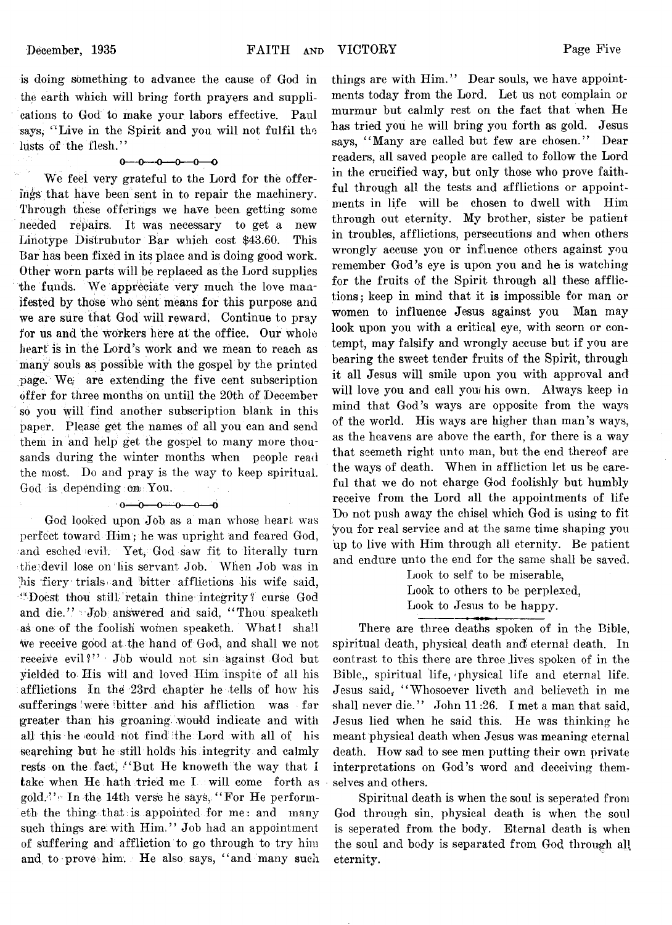is doing something; to advance the cause of God in the earth which will bring forth prayers and supplications to God to make your labors effective. Paul says, "Live in the Spirit and you will not fulfil the lusts of the flesh."

#### $0 - 0 - 0 - 0 - 0$

We feel very grateful to the Lord for the offerings that have been sent in to repair the machinery. Through these offerings we have been getting some needed repairs. It was necessary to get a new Linotype Distrubutor Bar which cost \$43.60. This Bar has been fixed in its place and is doing good work. Other worn parts will be replaced as the Lord supplies the funds. We appreciate very much the love manifested by those who sent means for this purpose and we are sure that God will reward, Continue to pray for us and the workers here at the office. Our whole heart is in the Lord's work and we mean to reach as many souls as possible with the gospel by the printed page. We/ are extending the five cent subscription offer for three months on untill the 20th of December so you will find another subscription blank in this paper. Please get the names of all you can and send them in and help get the gospel to many more thousands during the winter months when people read the most. Do and pray is the way to keep spiritual. God is depending: on You.

#### $0 - 0 - 0 - 0 - 0$

God looked upon Job as a man whose heart was perfect toward Him; he was upright and feared God, and esched evil. Yet, God saw fit to literally turn the devil lose on his servant Job. When Job was in his fiery trials and bitter afflictions his wife said, " Doest thou Still-' retain thine integrity *f* curse God and die." Job answered and said, "Thou speaketh as one of the foolish women speaketh. What! shall we receive good at. the hand of God, and shall we not receive evil?" Job would not sin against God but yielded to. His will and loved Him inspite of all his afflictions In the 23rd chapter he tells of how his sufferings were bitter and his affliction was far greater than his groaning, would indicate and with all this he could not find the Lord with all of his searching but he still holds his integrity and calmly rests on the fact, " But He knoweth the way that I take when He hath tried me I. will come forth as gold.'' In the 14th verse he says, "For He performeth the thing that is appointed for me: and many such things are with Him." Job had an appointment of suffering and affliction to go through to try him and to prove him. He also says, "and many such

things are with  $\text{Him.}$ " Dear souls, we have appointments today from the Lord. Let us not complain or murmur but calmly rest on the fact that when He has tried you he will bring you forth as gold. Jesus says, "Many are called but few are chosen." Dear readers, all saved people are called to follow the Lord in the crucified way, but only those who prove faithful through all the tests and afflictions or appointments in life will be chosen to dwell with Him through out eternity. My brother, sister be patient in troubles, afflictions, persecutions' and when others wrongly accuse you or influence others against you remember God's eye is upon you and he is watching for the fruits of the Spirit through all these afflictions; keep in mind that it is impossible for man or women to influence Jesus against you Man may look upon you with a critical eye, with scorn or contempt, may falsify and wrongly accuse but if you are bearing the sweet tender fruits of the Spirit, through it all Jesus will smile upon you with approval and will love you and call you his own. Always keep in mind that God's ways are opposite from the ways of the world. His ways are higher than man's ways, as the heavens are above the earth, for there is a way that seemeth right unto man, but the end thereof are the ways of death. When in affliction let us be careful that we do not charge God foolishly but humbly receive from the Lord all the appointments of life Do not push away the chisel which God is using to fit you for real service and at the same time shaping you up to live with Him through all eternity. Be patient and endure unto the end for the same shall be saved.

Look to self to be miserable, Look to others to be perplexed, Look to Jesus to be happy.

There are three deaths spoken of in the Bible, spiritual death, physical death and eternal death. In contrast to this there are three lives spoken of in the Bible,, spiritual life, < physical life and eternal life. Jesus said, "Whosoever liveth and believeth in me shall never die." John 11:26. I met a man that said, Jesus lied when he said this. He was thinking he meant physical death when Jesus was meaning eternal death. How sad to see men putting their own private interpretations on God's word and deceiving themselves and others.

Spiritual death is when the soul is seperated from God through sin, physical death is when the soul is seperated from the body. Eternal death is when the soul and body is separated from God through all eternity.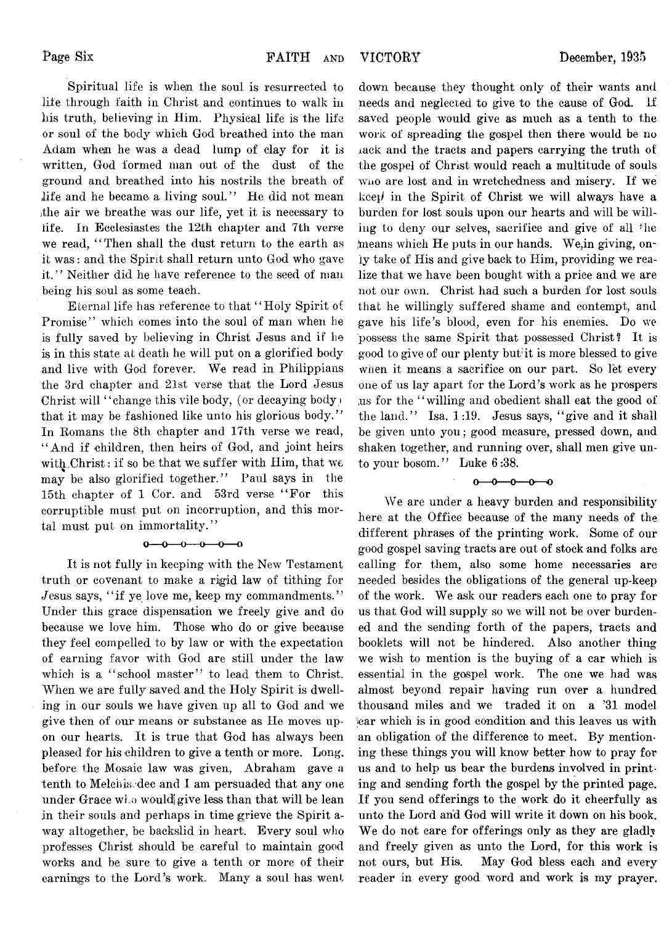Spiritual life is when the soul is resurrected to life through faith in Christ and continues to walk in his truth, believing in Him. Physical life is the life or soul of the body which God breathed into the man Adam when he was a dead lump of clay for it is written, God formed man out of the dust of the ground and breathed into his nostrils the breath of life and he became a living soul." He did not mean ithe air we breathe was our life, yet it is necessary to life. In Ecclesiastes the 12th chapter and 7th verse we read, "Then shall the dust return to the earth as it was: and the Spirit shall return unto God who gave it." Neither did he have reference to the seed of man being his soul as some teach.

Eternal life has reference to that " Holy Spirit of Promise" which comes into the soul of man when he is fully saved by believing in Christ Jesus and if he is in this state at death he will put on a glorified body and live with God forever. We read in Philippians the 3rd chapter and 21st verse that the Lord Jesus Christ will "change this vile body, (or decaying body) that it may be fashioned like unto his glorious body." In Romans the 8th chapter and 17th verse we read, " And if children, then heirs of God, and joint heirs with Christ: if so be that we suffer with  $\text{Him}$ , that we may be also glorified together." Paul says in the 15th chapter of 1 Cor. and 53rd verse " For this corruptible must put on incorruption, and this mortal must put on immortality."

#### $0 - 0 - 0 - 0 - 0$

It is not fully in keeping with the New Testament truth or covenant to make a rigid law of tithing for Jesus says, "if ye love me, keep my commandments." Under this grace dispensation we freely give and do because we love him. Those who do or give because they feel compelled to by law or with the expectation of earning favor with God are still under the law which is a "school master" to lead them to Christ. When we are fully saved and the Holy Spirit is dwelling in our souls we have given up all to God and we give then of our means or substance as He moves upon our hearts. It is true that God has always been pleased for his children to give a tenth or more. Long, before the Mosaic law was given, Abraham gave a tenth to Melchisedec and I am persuaded that any one under Grace who would give less than that will be lean in their souls and perhaps in time grieve the Spirit away altogether, be backslid in heart. Every soul who professes Christ should be careful to maintain good works and be sure to give a tenth or more of their earnings to the Lord's work. Many a soul has went

down because they thought only of their wants and needs and neglected to give to the cause of God. if saved people would give as much as a tenth to the work of spreading the gospel then there would be no iack and the tracts and papers carrying the truth of the gospel of Christ would reach a multitude of souls wiio are lost and in wretchedness and misery. If we k*ce\i* in the Spirit of Christ we will always have a burden for lost souls upon our hearts and will be willing to deny our selves, sacrifice and give of all the means which He puts in our hands. We, in giving, only take of His and give back to Him, providing we realize that we have been bought with a price and we are not our own. Christ had such a burden for lost souls that he willingly suffered shame and contempt, and gave his life's blood, even for his enemies. Do we possess the same Spirit that possessed Christ? It is good to give of our plenty but'it is more blessed to give when it means a sacrifice on our part. So let every one of us lay apart for the Lord's work as he prospers ,us for the " willing and obedient shall eat the good of the land." Isa. 1:19. Jesus says, " give and it shall be given unto you; good measure, pressed down, and shaken together, and running over, shall men give unto your bosom." Luke 6:38.

 $0 - 0 - 0 - 0$ 

We are under a heavy burden and responsibility here at the Office because of the many needs of the different phrases of the printing work. Some of our good gospel saving tracts are out of stock and folks are calling for them, also some home necessaries are needed besides the obligations of the general up-keep of the work. We ask our readers each one to pray for us that God will supply so we will not be over burdened and the sending forth of the papers, tracts and booklets will not be hindered. Also another thing we wish to mention is the buying of a car which is essential in the gospel work. The one we had was almost beyond repair having run over a hundred thousand miles and we traded it on a '31 model ear which is in good condition and this leaves us with an obligation of the difference to meet. By mentioning these things you will know better how to pray for us and to help us bear the burdens involved in printing and sending forth the gospel by the printed page. If you send offerings to the work do it cheerfully as unto the Lord and God will write it down on his book. We do not care for offerings only as they are gladly and freely given as unto the Lord, for this work is not ours, but His. May God bless each and every reader in every good word and work is my prayer.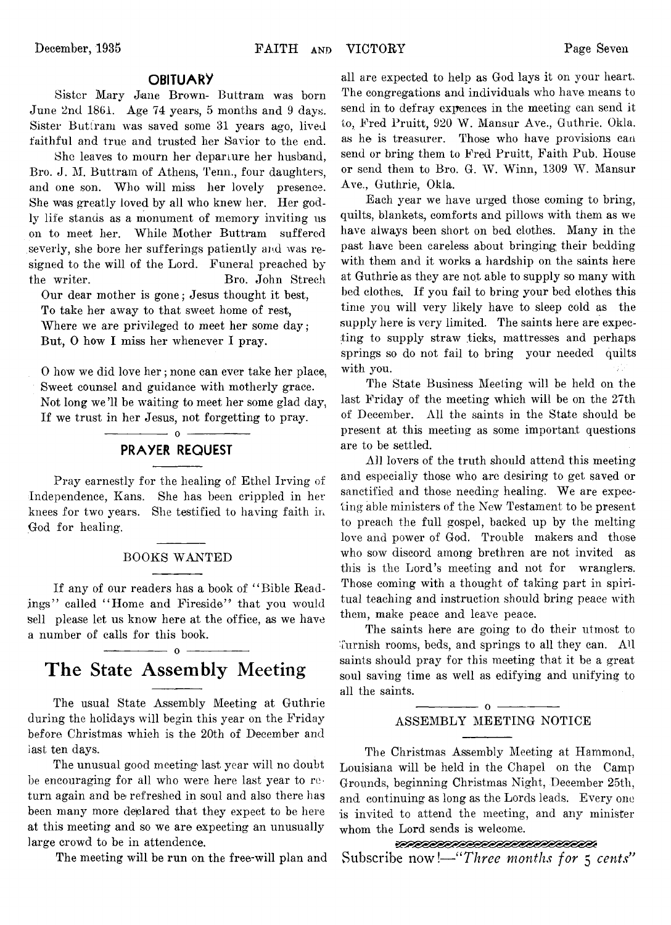## **OBITUARY**

Sister Mary Jane Brown- Buttram was born June 2nd 1861. Age 74 years, 5 months and 9 days. Sister Buttram was saved some 31 years ago, lived faithful and true and trusted her Savior to the end.

She leaves to mourn her departure her husband, Bro. J. M. Buttram of Athens, Tenn., four daughters, and one son. Who will miss her lovely presence. She was greatly loved by all who knew her. Her godly life stands as a monument of memory inviting us on to meet her. While Mother Buttram suffered severly, she bore her sufferings patiently and was resigned to the will of the Lord. Funeral preached by the writer. Bro. John Strech

Our dear mother is gone; Jesus thought it best, To take her away to that sweet home of rest, Where we are privileged to meet her some day; But, 0 how I miss her whenever I pray.

0 how we did love her; none can ever take her place, Sweet counsel and guidance with motherly grace. Not long we 11 be waiting to meet her some glad day, If we trust in her Jesus, not forgetting to pray.

## **PRAYER REQUEST**

 $\overline{\phantom{a}}$   $\overline{\phantom{a}}$   $\overline{\phantom{a}}$   $\overline{\phantom{a}}$   $\overline{\phantom{a}}$   $\overline{\phantom{a}}$   $\overline{\phantom{a}}$   $\overline{\phantom{a}}$   $\overline{\phantom{a}}$   $\overline{\phantom{a}}$   $\overline{\phantom{a}}$   $\overline{\phantom{a}}$   $\overline{\phantom{a}}$   $\overline{\phantom{a}}$   $\overline{\phantom{a}}$   $\overline{\phantom{a}}$   $\overline{\phantom{a}}$   $\overline{\phantom{a}}$   $\overline{\$ 

Pray earnestly for the healing of Ethel Irving of Independence, Kans. She has been crippled in her knees for two years. She testified to having faith in God for healing.

#### BOOKS WANTED

If any of our readers has a book of " Bible Readings" called "Home and Fireside" that you would sell please let us know here at the office, as we have a number of calls for this book.

# **The State Assembly Meeting**

 $-$  0  $-$ 

The usual State Assembly Meeting at Guthrie during the holidays will begin this year on the Friday before Christmas which is the 20th of December and last ten days.

The unusual good meeting last year will no doubt be encouraging for all who were here last year to return again and be refreshed in soul and also there has been many more declared that they expect to be here at this meeting and so we are expecting an unusually large crowd to be in attendence.

The meeting will be run on the free-will plan and

all are expected to help as God lays it on your heart. The congregations and individuals who have means to send in to defray expences in the meeting can send it to, Fred Pruitt, 920 W. Mansur Ave., Guthrie. Okla. as he is treasurer. Those who have provisions can send or bring them to Fred Pruitt, Faith Pub. House or send them to Bro. G. W. Winn, 1309 W. Mansur Ave., Guthrie, Okla.

Each year we have urged those coming to bring, quilts, blankets., comforts and pillows with them as we have always been short on bed clothes. Many in the past have been careless about bringing their bedding with them and it works a hardship on the saints here at Guthrie as they are not able to supply so many with bed clothes. If you fail to bring your bed clothes this time you will very likely have to sleep cold as the supply here is very limited. The saints here are expecting to supply straw ticks, mattresses and perhaps springs so do not fail to bring your needed quilts with you.

The State Business Meeting will be held on the last Friday of the meeting which will be on the 27th of December. All the saints in the State should be present at this meeting as some important questions are to be settled.

All lovers of the truth should attend this meeting and especially those who are desiring to get saved or sanctified and those needing healing. We are expecting able ministers of the New Testament to be present to preach the full gospel, backed up by the melting love and power of God. Trouble makers and those who sow discord among brethren are not invited as this is the Lord's meeting and not for wranglers. Those coming with a thought of taking part in spiritual teaching and instruction should bring peace with them, make peace and leave peace.

The saints here are going to do their utmost to furnish rooms, beds, and springs to all they can. All saints should pray for this meeting that it be a great soul saving time as well as edifying and unifying to all the saints.

#### $-0-$ ASSEMBLY MEETING NOTICE

The Christmas Assembly Meeting at Hammond, Louisiana will be held in the Chapel on the Camp Grounds, beginning Christmas Night, December 25th, and continuing as long as the Lords leads. Every one is invited to attend the meeting, and any minister whom the Lord sends is welcome.<br>expressed all the contract of the contract of the contract of the contract of the contract of the contract of the contract of the contract of the contract of the contract of the contract of

Subscribe now*!— " Three months for* 5 *cents"*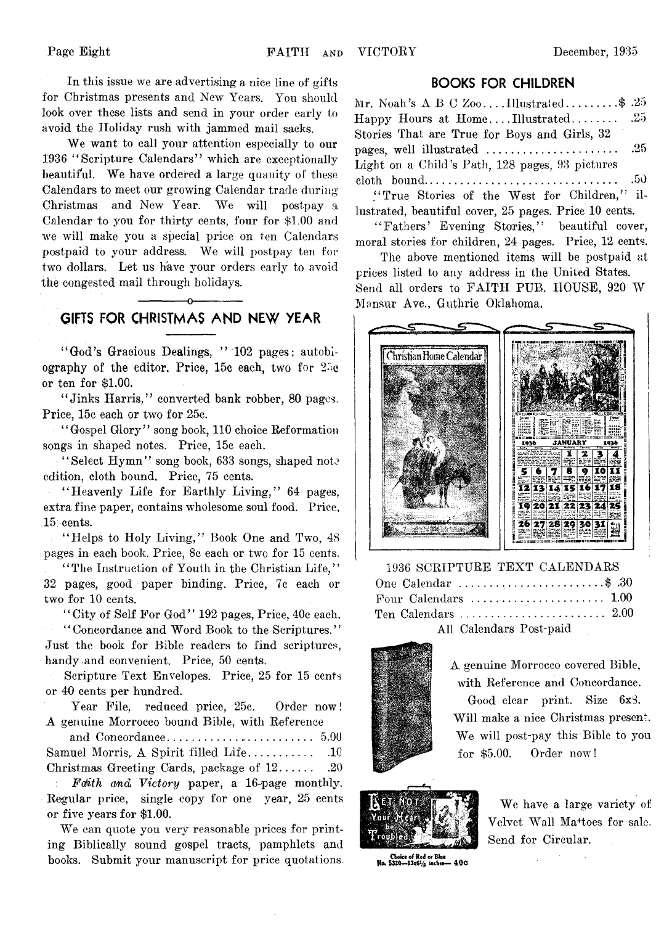In this issue we are advertising a nice line of gifts for Christinas presents and New Years. You should look over these lists and send in your order early to avoid the Holiday rush with jammed mail sacks.

We want to call your attention especially to our 1936 4'Scripture Calendars" which are exceptionally beautiful. We have ordered a large quanity of these Calendars to meet our growing Calendar trade during Christmas and New Year. We will postpay a Calendar to you for thirty cents, four for \$1.00 and we will make you a special price on ten Calendars postpaid to your address. We will postpay ten for two dollars. Let us have your orders early to avoid the congested mail through holidays.

## ------------- o------------- **GIFTS FOR CHRISTMAS AND NEW YEAR**

" God's Gracious Dealings, " 102 pages; autobiography of the editor. Price, 15c each, two for 25c or ten for \$1.00.

" Jinks Harris," converted bank robber, 80 pages. Price, 15c each or two for 25c.

" Gospel Glory" song book, 110 choice Reformation songs in shaped notes. Price, 15c each.

"Select Hymn" song book, 633 songs, shaped note edition, cloth bound. Price, 75 cents.

"Heavenly Life for Earthly Living," 64 pages, extra fine paper, contains wholesome soul food. Price, 15 cents.

"Helps to Holy Living," Book One and Two, 48 pages in each book. Price, 8c each or two for 15 cents.

"The Instruction of Youth in the Christian Life," 32 pages, good paper binding. Price, 7c each or two for 10 cents.

" City of Self For God" 192 pages, Price, 40c each.

" Concordance and Word Book to the Scriptures." Just the book for Bible readers to find scriptures, handy and convenient. Price, 50 cents.

Scripture Text Envelopes. Price, 25 for 15 cents or 40 cents per hundred.

Year File, reduced price, 25c. Order now! A genuine Morrocco bound Bible, with Reference

and Concordance.............................................. 5.00 Samuel Morris,, A Spirit filled L ife. . . ....................10 Christmas Greeting Cards, package of  $12$ .............20

*Fdith and Victory* paper, a 16-page monthly. Regular price, single copy for one year, 25 cents or five years for \$1.00.

We can quote you very reasonable prices for printing Biblically sound gospel tracts, pamphlets and books. Submit your manuscript for price quotations.

## **BOOKS FOR CHILDREN**

Mr. Noah's  $A \, B \, C \, Z_{00} \ldots$  Illustrated..........\$ .25 Happy Hours at Home....Illustrated..................25 Stories That are True for Boys and Girls, 32 pages, well illustrated ...............................................25 Light on a Child's Path, 128 pages, 93 pictures cloth bound...................................................................50

" True Stories of the West for Children," illustrated, beautiful cover, 25 pages. Price 10 cents.

" Fathers' Evening Stories," beautiful cover, moral stories for children, 24 pages. Price, 12 cents.

The above mentioned items will be postpaid at prices listed to any address in the United States. Send all orders to FAITH PUB, HOUSE, 920 W Mansur Ave., Guthrie Oklahoma,



1936 SCRIPTURE TEXT CALENDARS One Calendar ......................... ................... \$ .30 Four Calendars ......................................... 1.00 Ten Calendars............................................ 2.00 All Calendars Post-paid



A genuine Morrocco covered Bible, with Reference and Concordance. Good clear print. Size 6x3. Will make a nice Christmas present. We will post-pay this Bible to you for \$5.00. Order now !



We have a large variety of Velvet Wall Ma<sup>+</sup>toes for sale. Send for Circular.

Choice of Red or Blue<br>No. 5320—13x61/2 inches— 400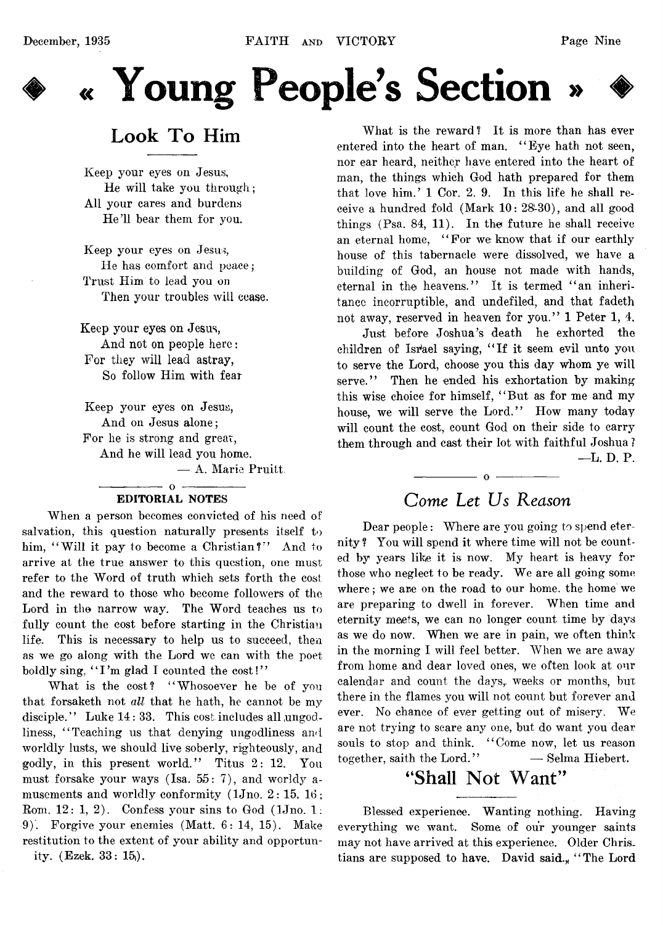

# **♦ « Young People's Section »**

# Look To Him

Keep your eyes on Jesus, He will take you through; All your cares and burdens He'll bear them for you.

Keep your eyes on Jesus, He has comfort and peace; Trust Him to lead you on **Then your troubles will cease.**

**Keep your eyes on Jesus, And not on people here: For they will lead astray, So follow Him with fear**

Keep your eyes on Jesus, And on Jesus alone; For he is strong and great, And he will lead you home.

— A. Marie Pruitt

#### $-0$   $-$ EDITORIAL NOTES

When a person becomes convicted of his need of salvation, this question naturally presents itself to him, "Will it pay to become a Christian?" And to arrive at the true answer to this question, one must refer to the Word of truth which sets forth the cost and the reward to those who become followers of the Lord in the narrow way. The Word teaches us to fully count the cost before starting in the Christian life. This is necessary to help us to succeed, then as we go along with the Lord we can with the poet boldly sing, "I'm glad I counted the cost!"

What is the cost? "Whosoever he be of you that forsaketh not *all* that he hath, he cannot be my disciple." Luke  $14:33$ . This cost includes all ungodliness, "Teaching us that denying ungodliness and worldly lusts, we should live soberly, righteously, and godly, in this present world." Titus 2: 12. You must forsake your ways (Isa.  $55: 7$ ), and worldy amusements and worldly conformity  $(1Jn_0, 2: 15, 16)$ ; Rom.  $12: 1, 2$ ). Confess your sins to God (1Jno. 1: 9). Forgive your enemies (Matt. 6: 14, 15). Make restitution to the extent of your ability and opportunity. (Ezek. 33: 15|).

What is the reward? It is more than has ever entered into the heart of man. "Eye hath not seen, nor ear heard, neither have entered into the heart of man, the things which God hath prepared for them that love him.' 1 Cor. 2. 9. In this life he shall receive a hundred fold (Mark  $10: 28:30$ ), and all good things (Psa. 84, 11). In the future he shall receive an eternal home, " For we know that if our earthly house of this tabernacle were dissolved, we have a building of God, an house not made with hands, eternal in the heavens." It is termed " an inheritance incorruptible, and undefiled, and that fadeth not away, reserved in heaven for you." 1 Peter 1, 4.

Just before Joshua's death he exhorted the children of Israel saying, " If it seem evil unto you to serve the Lord, choose you this day whom ye will serve." Then he ended his exhortation by making this wise choice for himself, " But as for me and my house, we will serve the Lord." How many today will count the cost, count God on their side to carry them through and cast their lot with faithful Joshua ? —L. D. P.

# *Come Let Us Reason*

 $-$  0  $-$ 

Dear people: Where are you going to spend eternity ? You will spend it where time will not be counted by years like it is now. My heart is heavy for those who neglect to be ready. We are all going some where; we are on the road to our home, the home we are preparing to dwell in forever. When time and eternity meets, we can no longer count time by days as we do now. When we are in pain, we often think in the morning I will feel better. When we are away from home and dear loved ones, we often look at our calendar and count the days, weeks or months, but there in the flames you will not count but forever and ever. No chance of ever getting out of misery. We are not trying to scare any one, but do want you dear souls to stop and think. "Come now, let us reason together, saith the Lord." — Selma Hiebert.

# **"Shall Not Want"**

Blessed experience. Wanting nothing. Having everything we want. Some of our younger saints may not have arrived at this experience. Older Christians are supposed to have. David said., "The Lord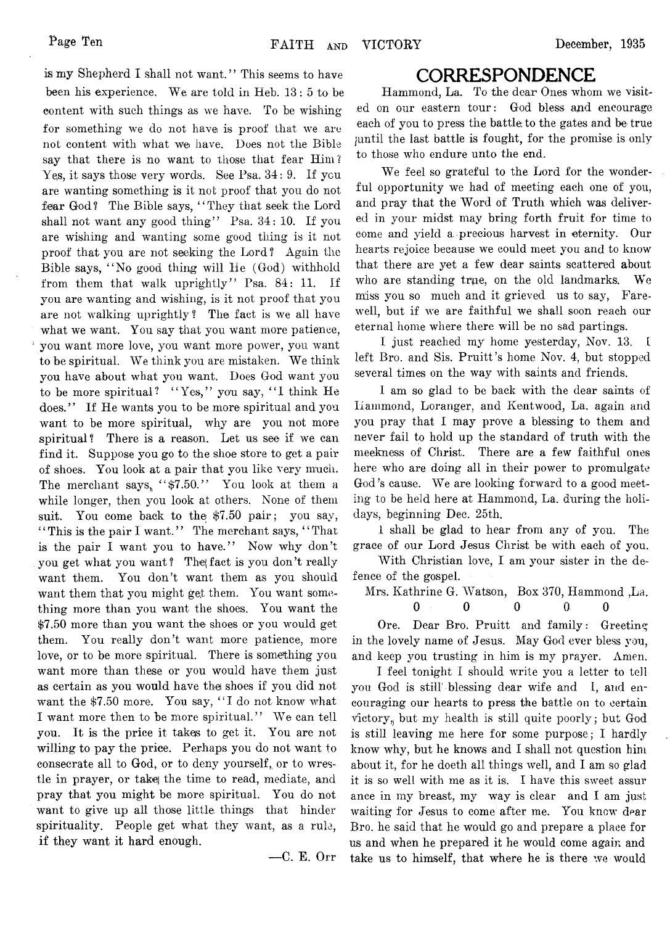is my Shepherd I shall not want." This seems to have been his experience. We are told in Heb. 13: 5 to be eontent with such things as we have. To be wishing for something we do not have is proof that we are not content with what we have. Does not the Bible say that there is no want to those that fear Him? Yes, it says those very words. See Psa.  $34: 9$ . If you are wanting something is it not proof that you do not fear God? The Bible says, "They that seek the Lord shall not want any good thing" Psa. 34: 10. If you are wishing and wanting some good thing is it not proof that you are not seeking the Lord ? Again the Bible says, " No good thing will He (God) withhold from them that walk uprightly" Psa. 84: 11. If you are wanting and wishing, is it not proof that you are not walking uprightly? The fact is we all have what we want. You say that you want more patience, you want more love, you want more power, you want to be spiritual. We think you are mistaken. We think you have about what you want. Does God want you to be more spiritual? "Yes," you say, "I think He does." If He wants you to be more spiritual and you want to be more spiritual, why are you not more spiritual? There is a reason. Let us see if we can find it. Suppose you go to the shoe store to get a pair of shoes. You look at a pair that you like very much. The merchant says, " $$7.50."$  You look at them a while longer, then you look at others. None of them suit. You come back to the \$7.50 pair; you say, "This is the pair I want." The merchant says, "That" is the pair I want you to have." Now why don't you get what you want? Thejfact is you don't really want them. You don't want them as you should want them that you might get them. You want something more than you want the shoes. You want the \$7.50 more than you want the shoes or you would get them. You really don't want more patience, more love, or to be more spiritual. There is something you want more than these or you would have them just as certain as you would have the shoes if you did not want the \$7.50 more. You say, "I do not know what I want more then to be more spiritual." We can tell you. It is the price it takes to get it. You are not willing to pay the price. Perhaps you do not want to consecrate all to God, or to deny yourself, or to wrestle in prayer, or take the time to read, mediate, and pray that you might be more spiritual. You do not want to give up all those little things that hinder spirituality. People get what they want, as a rule, if they want it hard enough.

— C. E. Orr

## **CORRESPONDENCE**

Hammond, La. To the dear Ones whom we visited on our eastern tour: God bless and encourage each of you to press the battle: to the gates and be true juntil the last battle is fought, for the promise is only to those who endure unto the end.

We feel so grateful to the Lord for the wonderful opportunity we had of meeting each one of you, and pray that the Word of Truth which was delivered in your midst may bring forth fruit for time to come and yield a. precious harvest in eternity. Our hearts rejoice because we could meet you and to know that there are yet a few dear saints scattered about who are standing true, on the old landmarks. We miss you so much and it grieved us to say, Farewell, but if we are faithful we shall soon reach our eternal home where there will be no sad partings.

I just reached my home yesterday, Nov. 13. I left Bro. and Sis. Pruitt's home Nov. 4, but stopped several times on the way with saints and friends.

I am so glad to be back with the dear saints of Hammond, Loranger, and Kentwood, La. again and you pray that I may prove a blessing to them and never fail to hold up the standard of truth with the meekness of Christ. There are a few faithful ones here who are doing all in their power to promulgate God's cause. We are looking forward to a good meeting to be held here at Hammond, La. during the holidays, beginning Dec. 25th.

1 shall be glad to hear from any of you. The grace of our Lord Jesus Christ be with each of you.

With Christian love, I am your sister in the defence of the gospel.

Mrs. Kathrine G. Watson, Box 370, Hammond ,La.

**0 0 0 0 0**

Ore. Dear Bro. Pruitt and family: Greeting in the lovely name of Jesus. May God ever bless you, and keep you trusting in him is my prayer. Amen.

I feel tonight I should write you a letter to tell you God is still' blessing dear wife and I, and encouraging our hearts to press the battle on to certain victory, but my health is still quite poorly; but God is still leaving me here for some purpose; I hardly know why, but he knows and I shall not question him about it, for he doeth all things well, and I am so glad it is so well with me as it is. I have this sweet assur ance in my breast, my way is clear and I am just waiting for Jesus to come after me. You knew dear Bro. he said that he would go and prepare a place for us and when he prepared it he would come again and take us to himself, that where he is there we would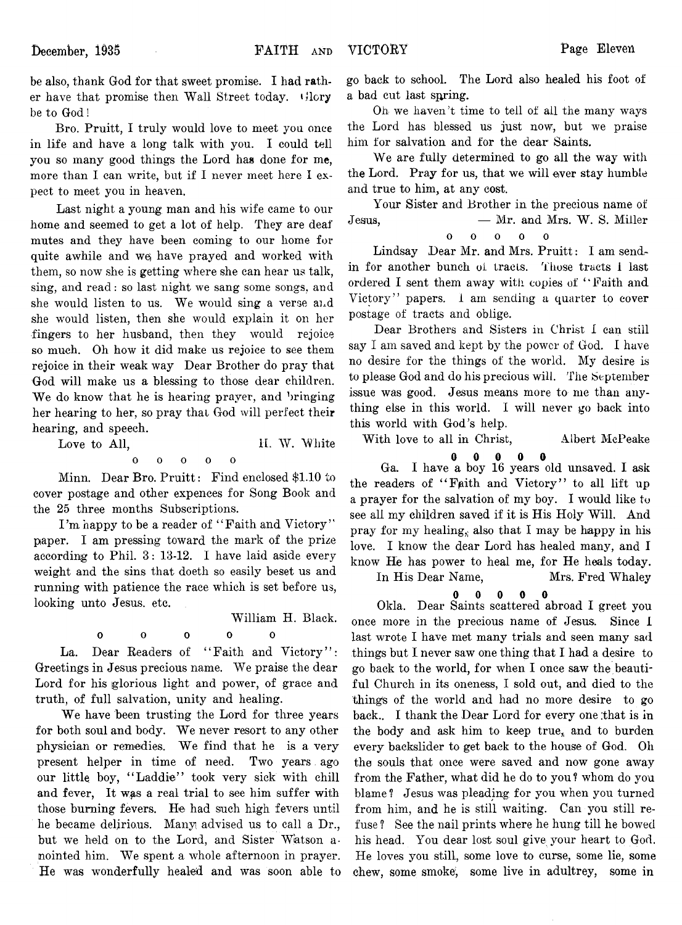be also, thank God for that sweet promise. I had rather have that promise then Wall Street today. Glory be to God!

Bro. Pruitt, I truly would love to meet you once in life and have a long talk with you. I could tell you so many good things the Lord has done for me, more than I can write, but if I never meet here I expect to meet you in heaven.

Last night a young man and his wife came to our home and seemed to get a lot of help. They are deaf mutes and they have been coming to our home for quite awhile and we) have prayed and worked with them, so now she is getting where she can hear us talk, sing, and read: so last night we sang some songs, and she would listen to us. We would sing a verse and she would listen, then she would explain it on her fingers to her husband, then they would rejoice so much. Oh how it did make us rejoice to see them rejoice in their weak way Dear Brother do pray that God will make us a blessing to those dear children. We do know that he is hearing prayer, and bringing her hearing to her, so pray that God will perfect their hearing, and speech.

Love to All, **1L W. White** 

**ooooo**  $\Omega$ 

Minn. Dear Bro. Pruitt: Find enclosed \$1.10 to cover postage and other expences for Song Book and the 25 three months Subscriptions.

I'm happy to be a reader of "Faith and Victory" paper. I am pressing toward the mark of the prize according to Phil. 3: 13-12. I have laid aside every weight and the sins that doeth so easily beset us and running with patience the race which is set before us, looking unto Jesus, etc.

William H. Black.

La. Dear Readers of "Faith and Victory": Greetings in Jesus precious name. We praise the dear Lord for his glorious light and power, of grace and truth, of full salvation, unity and healing.

0 0 0 0 0

We have been trusting the Lord for three years for both soul and body. We never resort to any other physician or remedies. We find that he is a very present helper in time of need. Two years ago our little boy, "Laddie" took very sick with chill and fever. It was a real trial to see him suffer with those burning fevers. He had such high fevers until he became delirious. Many advised us to call a Dr., but we held on to the Lord, and Sister Watson anointed him. We spent a whole afternoon in prayer. He was wonderfully healed and was soon able to

go back to school. The Lord also healed his foot of a bad cut last spring.

Oh we haven't time to tell of ail the many ways the Lord has blessed us just now, but we praise him for salvation and for the dear Saints.

We are fully determined to go all the way with the Lord. Pray for us, that we will ever stay humble and true to him, at any cost.

Your Sister and Brother in the precious name of Jesus, — Mr. and Mrs. W. S. Miller **ooooo**  $\Omega$ 

Lindsay Dear Mr. and Mrs. Pruitt: I am sendin for another bunch of tracts. Those tracts 1 last

ordered I sent them away with copies of "Faith and Victory" papers, i am sending a quarter to cover postage of tracts and oblige.

Dear Brothers and Sisters in Christ I can still say I am saved and kept by the power of God. I have no desire for the things of the world. My desire is to please God and do his precious will. The September issue was good. Jesus means more to me than anything else in this world. I will never go back into this world with God's help.

With love to all in Christ, Albert McPeake

 $\bf{0}$ 

**OOOOO** Ga. I have a boy 16 years old unsaved. I ask the readers of "Faith and Victory" to all lift up a prayer for the salvation of my boy. I would like to see all my children saved if it is His Holy Will. And pray for my healing, also that I may be happy in his love. I know the dear Lord has healed many, and I know He has power to heal me, for He heals today.

In His Dear Name, Mrs. Fred Whaley

**OOOOO** Okla. Dear Saints scattered abroad I greet you  $\theta$ once more in the precious name of Jesus. Since I last wrote I have met many trials and seen many sad things but I never saw one thing that I had a desire to go back to the world, for when I once saw the beautiful Church in its oneness, I sold out, and died to the thing's of the world and had no more desire to go back.. I thank the Dear Lord for every one that is in the body and ask him to keep true, and to burden every backslider to get back to the house of God. Oh the souls that once were saved and now gone away from the Father, what did he do to you ? whom do you blame? Jesus was pleading for you when you turned from him, and he is still waiting. Can you still refuse ? See the nail prints where he hung till he bowed his head. You dear lost soul give your heart to God. He loves you still, some love to curse, some lie, some chew, some smoke), some live in adultrey, some in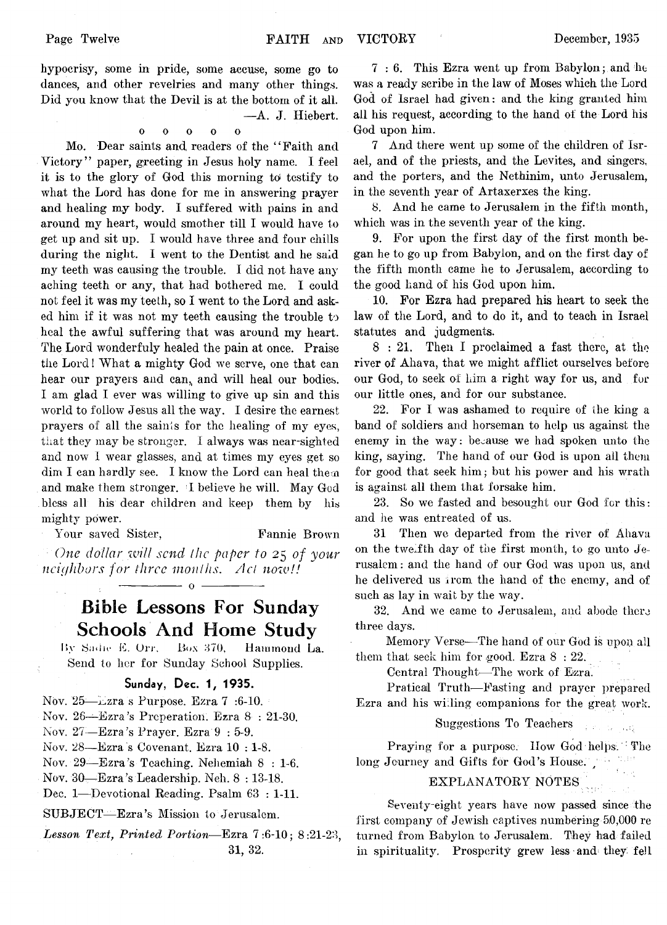hypocrisy, some in pride, some accuse, some go to dances, and other revelries and many other things. Did you know that the Devil is at the bottom of it all. —A. J. Hiebert.

ooooo

 $\mathbf{o}$ 

Mo. Dear saints and readers of the "Faith and Victory" paper, greeting in Jesus holy name. I feel it is to the glory of God this morning to testify to what the Lord has done for me in answering prayer and healing my body. I suffered with pains in and around my heart, would smother till I would have to get up and sit up. I would have three and four chills during the night. I went to the Dentist and he said my teeth was causing the trouble. I did not have any aching teeth or any, that had bothered me. I could not feel it was my teeth, so I went to the Lord and asked him if it was not my teeth causing the trouble to heal the awful suffering that was around my heart. The Lord wonderfuly healed the pain at once. Praise the Lord! What a mighty God we serve, one that can hear our prayers and can, and will heal our bodies. I am glad I ever was willing to give up sin and this world to follow Jesus all the way. I desire the earnest prayers of all the saints for the healing of my eyes, that they may be stronger. I always was near-sighted and now I wear glasses, and at times my eyes get so dim I can hardly see. I know the Lord can heal them and make them stronger. *1* believe he will. May God bless all his dear children and keep them by his mighty power.

Your saved Sister, Fannie Brown *One dollar will send the paper to* 25 *of your*

 $\frac{1}{\sqrt{2}}$  o  $\frac{1}{\sqrt{2}}$ 

*ncit/hbors for three months***.** *Act now!!*

# **Bible Lessons For Sunday Schools And Home Study**

By Sadie E. Orr. Box 370, Hammond La. Send to her for Sunday School Supplies.

## **Sunday, Dec. 1, 1935.**

Nov. 25—Lzra s Purpose. Ezra 7:6-10.

Nov. 26— Ezra's Preperation. Ezra 8 : 21-30.

Nov. 27— Ezra 's Prayer. Ezra 9 : 5-9.

Nov. 28— Ezra s Covenant. Ezra 10 : 1-8.

Nov. 29—Ezra's Teaching. Nehemiah  $8:1-6$ .

Nov. 30— Ezra's Leadership. Neh. 8 : 13-18.

Dec. 1—Devotional Reading. Psalm 63 : 1-11.

SUBJECT— Ezra's Mission to Jerusalem.

*Lesson Text*, *Printed Portion*— Ezra 7:6-10; 8:21-23, 31, 32.

7 : 6. This Ezra went up from Babylon; and  $\ln \theta$ was a ready scribe in the law of Moses which the Lord God of Israel had given: and the king granted him all his request, according to the hand of the Lord his God upon him.

7 And there went up some of the children of Israel, and of the priests, and the Levites, and singers, and the porters, and the Nethinim, unto Jerusalem, in the seventh year of Artaxerxes the king.

8. And he came to Jerusalem in the fifth month, which was in the seventh year of the king.

9. For upon the first day of the first month began he to go up from Babylon, and on the first day of the fifth month came he to Jerusalem, according to the good hand of his God upon him.

10. For Ezra had prepared his heart to seek the law of the Lord, and to do it, and to teach in Israel statutes and judgments.

8 : 21. Then I proclaimed a fast there, at the river of Ahava, that we might afflict ourselves before our God, to seek of him a right way for us, and for our little ones, and for our substance.

22. For I was ashamed to require of the king a band of soldiers and horseman to help us against the enemy in the way: because we had spoken unto the king, saying. The hand of our God is upon ail them for good that seek him; but his power and his wrath is against all them that forsake him.

23. So we fasted and besought our God for this: and he was entreated of us.

31 Then we departed from the river of Ahava on the twelfth day of the first month, to go unto Jerusalem : and the hand of our God was upon us, and he delivered us from the hand of the enemy, and of such as lay in wait by the way.

32. And we came to Jerusalem, and abode there three days.

Memory Verse— The hand of our God is upon all them that seek him for good. Ezra 8 : 22.

Central Thought— The work of Ezra.

Praticail Truth— Fasting and prayer prepared Ezra and his willing companions for the great work.

Suggestions To Teachers

Praying for a purpose. How God helps. The long Journey and Gifts for God's House.

# EXPLANATORY NOTES

Seventy-eight years have now passed since the first company of Jewish captives numbering 50,000 re turned from Babylon to Jerusalem. They had failed in spirituality. Prosperity grew less and they fell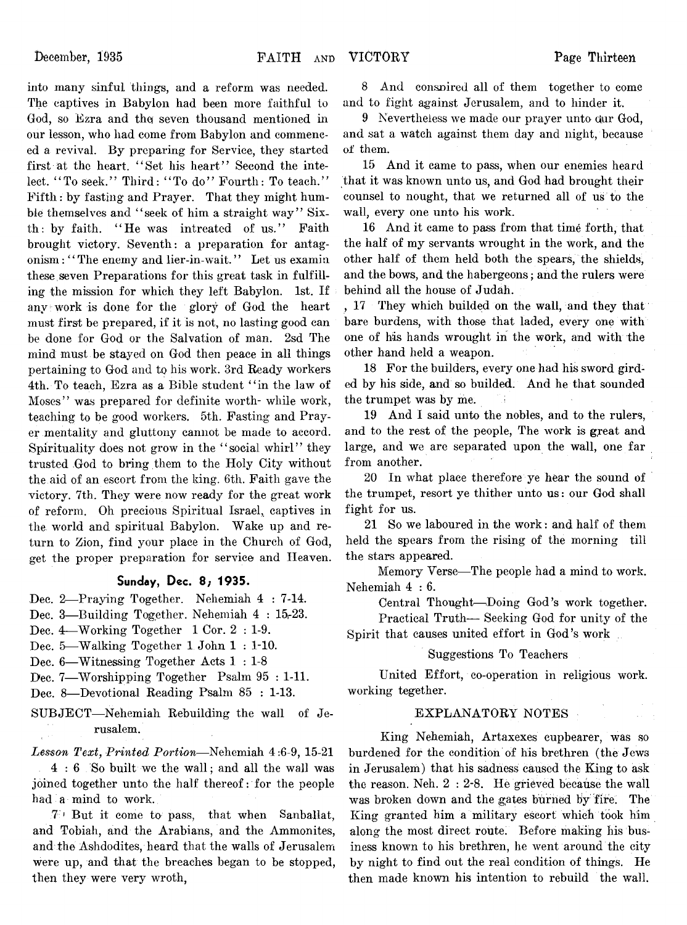into many sinful things, and a reform was needed. The captives in Babylon had been more faithful to God, so Ezra and the seven thousand mentioned in our lesson, who had come from Babylon and commenced a revival. By preparing for Service, they started first at the heart. " Set his heart" Second the intelect. "To seek." Third: "To do" Fourth: To teach." Fifth : by fasting and Prayer. That they might humble themselves and "seek of him a straight way" Sixth: by faith. "He was intreated of us." Faith brought victory. Seventh: a preparation for antagonism : "The enemy and lier-in-wait." Let us examin these seven Preparations for this great task in fulfilling the mission for which they left Babylon. 1st. If any work is done for the glory of God the heart must first be prepared, if it is not, no lasting good can be done for God or the Salvation of man. 2sd The mind must be stayed on God then peace in all things pertaining to God and to his work. 3rd Ready workers 4th. To teach, Ezra as a Bible student " in the law of Moses" was prepared for definite worth- while work, teaching to be good workers. 5th. Fasting and Prayer mentality and gluttony cannot be made to accord. Spirituality does not grow in the "social whirl" they trusted God to bring them to the Holy City without the aid of an escort from the king. 6th. Faith gave the victory. 7th. They were now ready for the great work of reform. Oh precious Spiritual Israel, captives in the world and spiritual Babylon. Wake up and return to Zion, find your place in the Church of God, get the proper preparation for service and Heaven.

#### **Sunday, Dec. 8; 1935.**

- Dec. 2— Praying Together. Nehemiah 4 : 7-14.
- Dec. 3—Building Together. Nehemiah 4 : 15-23.
- Dec. 4— Working Together 1 Cor. 2 : 1-9.
- Dec. 5— Walking Together 1 John 1 : 1-10.
- Dec. 6— Witnessing Together Acts 1 : 1-8
- Dec. 7— Worshipping Together Psalm 95 : 1-11.
- Dec. 8— Devotional Reading Psalm 85 : 1-13.
- SUBJECT—Nehemiah Rebuilding the wall of Je rusalem.

*Lesson Text, Printed Portion*— Nehemiah 4 :6-9, 15-21 4 : 6 So built we the wall ; and all the wall was joined together unto the half thereof: for the people had a mind to work.

7 ' But it come to pass, that when Sanballat, and Tobiah, and the Arabians, and the Ammonites, and the Ashdodites, heard that the walls of Jerusalem were up, and that the breaches began to be stopped, then they were very wroth,

8 And consnired all of them together to come and to fight against Jerusalem, and to hinder it.

9 Nevertheless we made our prayer unto our God, and sat a watch against them day and night, because of them.

15 And it came to pass, when our enemies heard that it was known unto us, and God had brought their counsel to nought, that we returned all of us to the wall, every one unto his work.

16 And it came to pass from that time forth, that the half of my servants wrought in the work, and the other half of them held both the spears, the shields, and the bows, and the habergeons; and the rulers were behind all the house of Judah.

, 17 They which builded on the wall, and they that bare burdens, with those that laded, every one with one of his hands wrought in the work, and with the other hand held a weapon.

18 For the builders, every one had his sword girded by his side, and so builded. And he that sounded the trumpet was by me.

19 And I said unto the nobles, and to the rulers, and to the rest of the people, The work is great and large, and we are separated upon the wall, one far from another.

20 In what place therefore ye hear the sound of the trumpet, resort ye thither unto us: our God shall fight for us.

21 So we laboured in the work: and half of them held the spears from the rising of the morning till the stars appeared.

Memory Verse— The people had a mind to work. Nehemiah 4:6.

Central Thought—Doing God's work together.

Practical Truth— Seeking God for unity of the Spirit that causes united effort in God's work

#### Suggestions To Teachers

United Effort, co-operation in religious work, working tegether.

#### EXPLANATORY NOTES

King Nehemiah, Artaxexes cupbearer, was so burdened for the condition of his brethren (the Jews in Jerusalem) that his sadness caused the King to ask the reason. Neh. 2 : 2-8. He grieved because the wall was broken down and the gates burned by fire. The King granted him a military escort which took him along the most direct route. Before making his business known to his brethren, he went around the city by night to find out the real condition of things. He then made known his intention to rebuild the wall.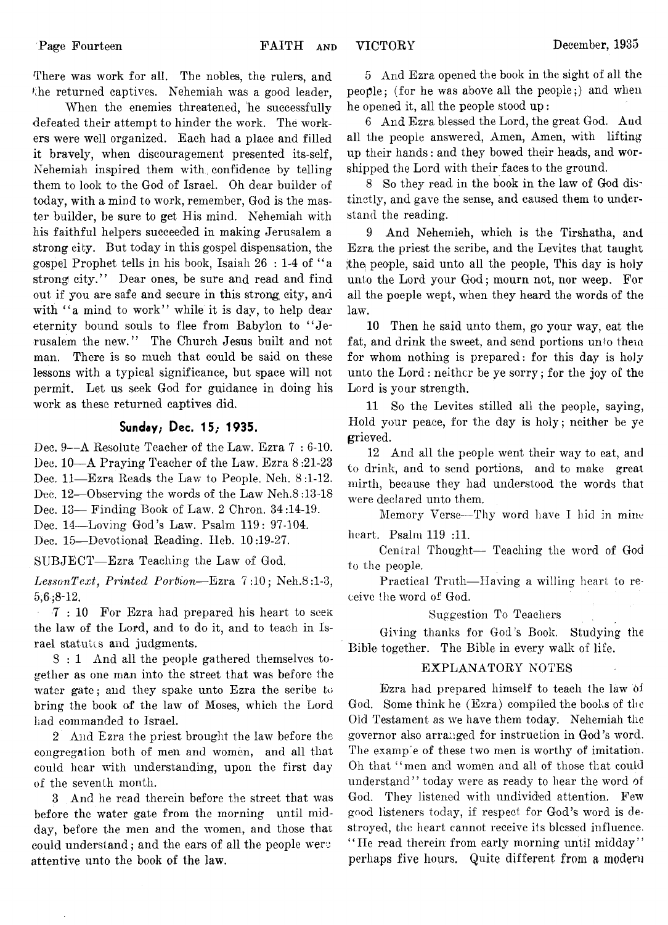There was work for all. The nobles, the rulers, and the returned captives. Nehemiah was a good leader,

When the enemies threatened, he successfully defeated their attempt to hinder the work. The workers were well organized. Each had a place and filled it bravely, when discouragement presented its-self, Nehemiah inspired them with, confidence by telling them to look to the God of Israel. Oh dear builder of today, with a mind to work, remember, God is the master builder, be sure to get His mind. Nehemiah with his faithful helpers succeeded in making Jerusalem a strong city. But today in this gospel dispensation, the gospel Prophet tells in his book, Isaiah 26 : 1-4 of ' ' a strong city." Dear ones, be sure and read and find out if you are safe and secure in this strong, city, and with "a mind to work" while it is day, to help dear eternity bound souls to flee from Babylon to " Jerusalem the new." The Church Jesus built and not man. There is so much that could be said on these lessons with a typical significance, but space will not permit. Let us seek God for guidance in doing his work as these returned captives did.

#### **Sunday; Dec. 15; 1935.**

Dec. 9— A Resolute Teacher of the Law. Ezra 7 : 6-10. Dec. 10— A Praying Teacher of the Law. Ezra 8 :21-23

Dec. 11— Ezra Reads the Law to People. Neh. 8:1-12.

Dec. 12—Observing the words of the Law Neh.8:13-18

Dec. 13— Finding Book of Law. 2 Chron. 34:14-19.

Dec. 14— Loving God's Law. Psalm 119: 97-104.

Dec. 15— Devotional Reading. Ileb. 10 :19-27.

SUBJECT— Ezra Teaching the Law of God.

*LessonText, Printed Portion*— Ezra 7:10; Neh.8 :l-3, 5,6 ;8-12.

7 : 10 For Ezra had prepared his heart to seek: the law of the Lord, and to do it, and to teach in Israel statutes and judgments.

8 : 1 And all the people gathered themselves together as one man into the street that was before the water gate; and they spake unto Ezra the scribe to bring the book of the law of Moses, which the Lord had commanded to Israel.

2 And Ezra the priest brought the law before the congregation both of men and women, and all that could hear with understanding, upon the first day of the seventh month.

3 And he read therein before the street that was before the water gate from the morning until midday, before the men and the women, and those that could understand; and the ears of all the people were attentive unto the book of the law.

5 And Ezra opened the book in the sight of all the people; (for he was above all the people;) and when he opened it, all the people stood up:

6 And Ezra blessed the Lord, the great God. And all the people answered, Amen, Amen, with lifting up their hands: and they bowed their heads, and worshipped the Lord with their faces to the ground.

8 So they read in the book in the law of God distinctly, and gave the sense, and caused them to understand the reading.

9 And Nehemieh, which is the Tirshatha, and Ezra the priest the scribe, and the Levites that taught the people, said unto all the people, This day is holy unto the Lord your God; mourn not, nor weep. For all the poeple wept, when they heard the words of the law.

10 Then he said unto them, go your way, eat the fat, and drink the sweet, and send portions unto them for whom nothing is prepared: for this day is holy unto the Lord: neither be ye sorry; for the joy of the Lord is your strength.

11 So the Levites stilled all the people, saying, Hold your peace, for the day is holy; neither be ye grieved.

12 And all the people went their way to eat, and to drink, and to send portions, and to make great mirth, because they had understood the words that were declared unto them.

Memory Verse— Thy word have I hid in mine heart. Psalm 119 :11.

Central Thought— Teaching the word of God to the people.

Practical Truth— Having a willing heart to receive the word of God.

#### Suggestion To Teachers

Giving thanks for God's Book. Studying the Bible together. The Bible in every walk of life.

#### EXPLANATORY NOTES

Ezra had prepared himself to teach the law ol God. Some think he (Ezra) compiled the books of the Old Testament as we have them today. Nehemiah the governor also arranged for instruction in God's word. The example of these two men is worthy of imitation. Oh that " men and women and all of those that could understand" today were as ready to hear the word of God. They listened with undivided attention. Few good listeners today, if respect for God's word is destroyed, the heart cannot receive its blessed influence. "He read therein from early morning until midday" perhaps **five** hours. Quite **different from a modern**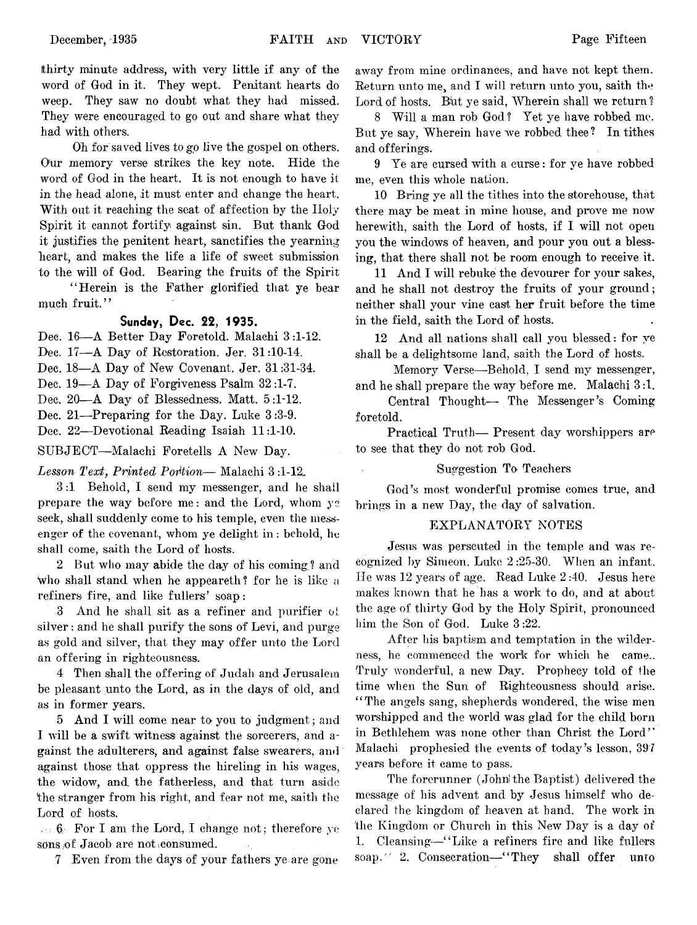fthirty minute address, with very little if any of the word of God in it. They wept. Penitant hearts do weep. They saw no doubt what they had missed. They were encouraged to go out and share what they had with others.

Oh for saved lives to go live the gospel on others. Our memory verse strikes the key note. Hide the word of God in the heart. It is not enough to have it in the head alone, it must enter and change the heart. With out it reaching the seat of affection by the Holy Spirit it cannot fortify against sin. But thank God it justifies the penitent heart, sanctifies the yearning heart, and makes the life a life of sweet submission to the will of God. Bearing the fruits of the Spirit

" Herein is the Father glorified that ye bear much fruit."

#### **Sunday, Dec. 22, 1935.**

Dec. 16— A Better Day Foretold. Malachi 3 :1-12.

Dec. 17—A Day of Restoration. Jer. 31:10-14.

Dec. 18—A Day of New Covenant. Jer. 31:31-34.

Dec. 19—A Day of Forgiveness Psalm 32:1-7.

Dec, 20—A Day of Blessedness. Matt. 5:1-12.

Dec. 21—Preparing for the Day. Luke 3 :3-9. Dec. 22— Devotional Reading Isaiah 11:1-10.

SUBJECT— Malachi Foretells A New Day.

*Lesson Text*, *Printed Portion*— Malachi 3 :1-12,.

3 :1 Behold, I send my messenger, and he shall prepare the way before me: and the Lord, whom  $y_2$ seek, shall suddenly come to his temple, even the messenger of the covenant, whom ye delight in : behold, he shall come, saith the Lord of hosts.

2 But who may abide the day of his coming? and Who shall stand when he appeareth? for he is like a refiners fire, and like fullers' soap:

3 And he shall sit as a refiner and purifier ol silver : and he shall purify the sons of Levi, and purge as gold and silver, that they may offer unto the Lord an offering in righteousness.

4 Then shall the offering of Judah and Jerusalem be pleasant unto the Lord, as in the days of old, and as in former years.

5 And I will come near to you to judgment; and I will be a swift witness against the sorcerers, and against the adulterers, and against false swearers, and against those that oppress the hireling in his wages, the widow, and the fatherless, and that turn aside the stranger from his right, and fear not me, saith the Lord of hosts.

 $\cdots$  6 For I am the Lord, I change not; therefore ye sons of Jacob are not consumed.

7 Even from the days of your fathers ye are gone

away from mine ordinances, and have not kept them. Return unto me, and I will return unto you, saith the Lord of hosts. But ye said, Wherein shall we return?

8 Will a man rob God? Yet ye have robbed me. But ye say, Wherein have we robbed thee? In tithes and offerings.

9 Ye are cursed with a curse: for ye have robbed me, even this whole nation.

10 Bring ye all the tithes into the storehouse, that there may be meat in mine house, and prove me now herewith, saith the Lord of hosts, if I will not open you the windows of heaven, and pour you out a blessing, that there shall not be room enough to receive it.

11 And I will rebuke the devourer for your sakes, and he shall not destroy the fruits of your ground; neither shall your vine cast her fruit before the time in the field, saith the Lord of hosts.

12 And all nations shall call you blessed: for ye shall be a delightsome land, saith the Lord of hosts.

Memory Verse—Behold, I send my messenger, and he shall prepare the way before me. Malachi 3 :1.

Central Thought— The Messenger's Coming foretold.

Practical Truth— Present day worshippers are to see that they do not rob God.

#### Suggestion To Teachers

God's most wonderful promise comes true, and brings in a new Day, the day of salvation.

#### EXPLANATORY NOTES

Jesus was perscuted in the temple and was recognized by Simeon. Luke 2 :25-30. When an infant. He was 12 years of age. Read Luke 2 :40. Jesus here makes known that he has a work to do, and at about the age of thirty God by the Holy Spirit, pronounced him the Son of God. Luke 3 :22.

After his baptism and temptation in the wilderness, he commenced the work for which he came.. Truly wonderful, a new Day. Prophecy told of the time when the Sun of Righteousness should arise. "The angels sang, shepherds wondered, the wise men worshipped and the world was glad for the child born in Bethlehem was none other than Christ the Lord" Malachi prophesied the events of today's lesson, 397 years before it came to pass.

The forerunner (John'the Baptist) delivered the message of his advent and by Jesus himself who declared the kingdom of heaven at hand. The work in the Kingdom or Church in this New Day is a day of 1. Cleansing— " Like a refiners fire and like fullers soap." 2. Consecration—"They shall offer unto